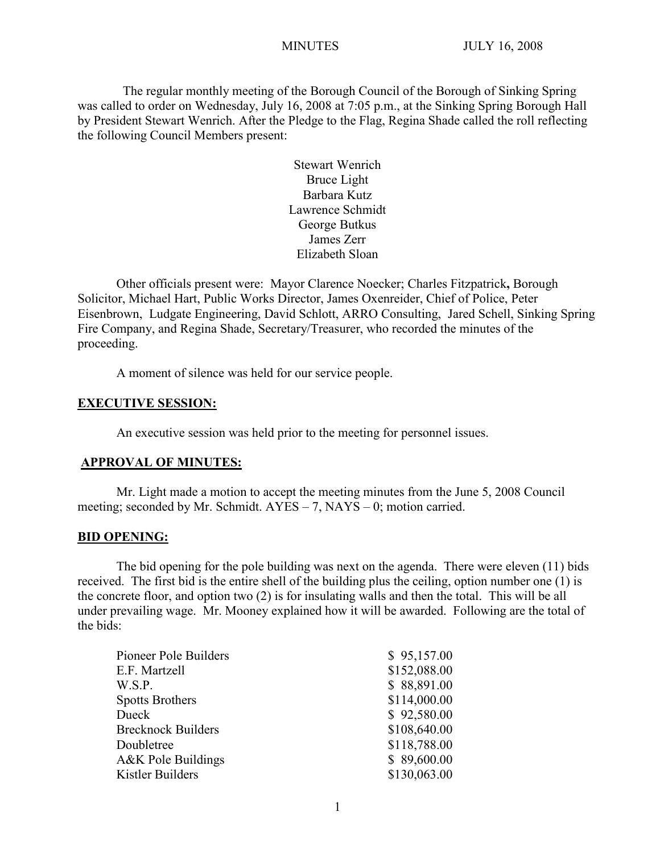The regular monthly meeting of the Borough Council of the Borough of Sinking Spring was called to order on Wednesday, July 16, 2008 at 7:05 p.m., at the Sinking Spring Borough Hall by President Stewart Wenrich. After the Pledge to the Flag, Regina Shade called the roll reflecting the following Council Members present:

> Stewart Wenrich Bruce Light Barbara Kutz Lawrence Schmidt George Butkus James Zerr Elizabeth Sloan

Other officials present were: Mayor Clarence Noecker; Charles Fitzpatrick**,** Borough Solicitor, Michael Hart, Public Works Director, James Oxenreider, Chief of Police, Peter Eisenbrown, Ludgate Engineering, David Schlott, ARRO Consulting, Jared Schell, Sinking Spring Fire Company, and Regina Shade, Secretary/Treasurer, who recorded the minutes of the proceeding.

A moment of silence was held for our service people.

### **EXECUTIVE SESSION:**

An executive session was held prior to the meeting for personnel issues.

### **APPROVAL OF MINUTES:**

Mr. Light made a motion to accept the meeting minutes from the June 5, 2008 Council meeting; seconded by Mr. Schmidt.  $AYES - 7$ ,  $NAYS - 0$ ; motion carried.

### **BID OPENING:**

The bid opening for the pole building was next on the agenda. There were eleven (11) bids received. The first bid is the entire shell of the building plus the ceiling, option number one (1) is the concrete floor, and option two (2) is for insulating walls and then the total. This will be all under prevailing wage. Mr. Mooney explained how it will be awarded. Following are the total of the bids:

| Pioneer Pole Builders         | \$95,157.00  |
|-------------------------------|--------------|
| E.F. Martzell                 | \$152,088.00 |
| W.S.P.                        | \$88,891.00  |
| <b>Spotts Brothers</b>        | \$114,000.00 |
| Dueck                         | \$92,580.00  |
| <b>Brecknock Builders</b>     | \$108,640.00 |
| Doubletree                    | \$118,788.00 |
| <b>A&amp;K Pole Buildings</b> | \$89,600.00  |
| Kistler Builders              | \$130,063.00 |
|                               |              |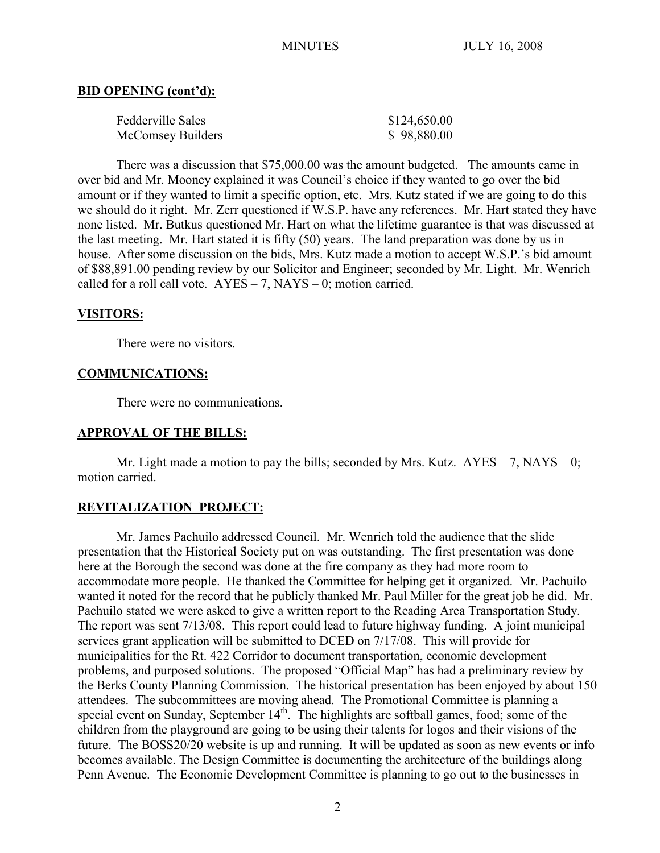### **BID OPENING (cont'd):**

| Fedderville Sales | \$124,650.00 |
|-------------------|--------------|
| McComsey Builders | \$98,880.00  |

There was a discussion that \$75,000.00 was the amount budgeted. The amounts came in over bid and Mr. Mooney explained it was Council's choice if they wanted to go over the bid amount or if they wanted to limit a specific option, etc. Mrs. Kutz stated if we are going to do this we should do it right. Mr. Zerr questioned if W.S.P. have any references. Mr. Hart stated they have none listed. Mr. Butkus questioned Mr. Hart on what the lifetime guarantee is that was discussed at the last meeting. Mr. Hart stated it is fifty (50) years. The land preparation was done by us in house. After some discussion on the bids, Mrs. Kutz made a motion to accept W.S.P.'s bid amount of \$88,891.00 pending review by our Solicitor and Engineer; seconded by Mr. Light. Mr. Wenrich called for a roll call vote.  $AYES - 7$ ,  $NAYS - 0$ ; motion carried.

### **VISITORS:**

There were no visitors.

### **COMMUNICATIONS:**

There were no communications.

### **APPROVAL OF THE BILLS:**

Mr. Light made a motion to pay the bills; seconded by Mrs. Kutz.  $AYES - 7$ , NAYS – 0; motion carried.

### **REVITALIZATION PROJECT:**

Mr. James Pachuilo addressed Council. Mr. Wenrich told the audience that the slide presentation that the Historical Society put on was outstanding. The first presentation was done here at the Borough the second was done at the fire company as they had more room to accommodate more people. He thanked the Committee for helping get it organized. Mr. Pachuilo wanted it noted for the record that he publicly thanked Mr. Paul Miller for the great job he did. Mr. Pachuilo stated we were asked to give a written report to the Reading Area Transportation Study. The report was sent 7/13/08. This report could lead to future highway funding. A joint municipal services grant application will be submitted to DCED on 7/17/08. This will provide for municipalities for the Rt. 422 Corridor to document transportation, economic development problems, and purposed solutions. The proposed "Official Map" has had a preliminary review by the Berks County Planning Commission. The historical presentation has been enjoyed by about 150 attendees. The subcommittees are moving ahead. The Promotional Committee is planning a special event on Sunday, September  $14<sup>th</sup>$ . The highlights are softball games, food; some of the children from the playground are going to be using their talents for logos and their visions of the future. The BOSS20/20 website is up and running. It will be updated as soon as new events or info becomes available. The Design Committee is documenting the architecture of the buildings along Penn Avenue. The Economic Development Committee is planning to go out to the businesses in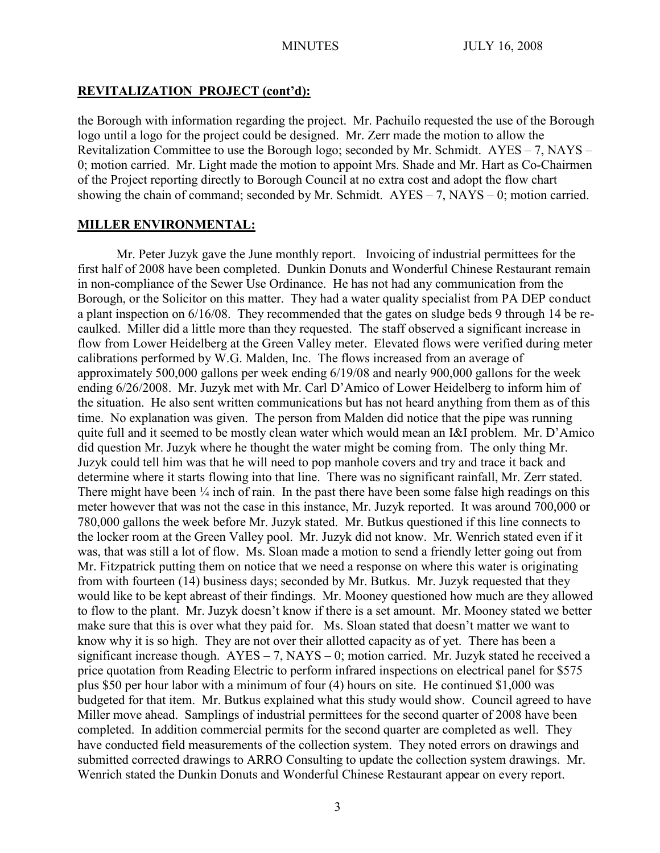### **REVITALIZATION PROJECT (cont'd):**

the Borough with information regarding the project. Mr. Pachuilo requested the use of the Borough logo until a logo for the project could be designed. Mr. Zerr made the motion to allow the Revitalization Committee to use the Borough logo; seconded by Mr. Schmidt. AYES – 7, NAYS – 0; motion carried. Mr. Light made the motion to appoint Mrs. Shade and Mr. Hart as Co-Chairmen of the Project reporting directly to Borough Council at no extra cost and adopt the flow chart showing the chain of command; seconded by Mr. Schmidt.  $AYES - 7$ ,  $NAYS - 0$ ; motion carried.

### **MILLER ENVIRONMENTAL:**

Mr. Peter Juzyk gave the June monthly report. Invoicing of industrial permittees for the first half of 2008 have been completed. Dunkin Donuts and Wonderful Chinese Restaurant remain in non-compliance of the Sewer Use Ordinance. He has not had any communication from the Borough, or the Solicitor on this matter. They had a water quality specialist from PA DEP conduct a plant inspection on 6/16/08. They recommended that the gates on sludge beds 9 through 14 be recaulked. Miller did a little more than they requested. The staff observed a significant increase in flow from Lower Heidelberg at the Green Valley meter. Elevated flows were verified during meter calibrations performed by W.G. Malden, Inc. The flows increased from an average of approximately 500,000 gallons per week ending 6/19/08 and nearly 900,000 gallons for the week ending 6/26/2008. Mr. Juzyk met with Mr. Carl D'Amico of Lower Heidelberg to inform him of the situation. He also sent written communications but has not heard anything from them as of this time. No explanation was given. The person from Malden did notice that the pipe was running quite full and it seemed to be mostly clean water which would mean an I&I problem. Mr. D'Amico did question Mr. Juzyk where he thought the water might be coming from. The only thing Mr. Juzyk could tell him was that he will need to pop manhole covers and try and trace it back and determine where it starts flowing into that line. There was no significant rainfall, Mr. Zerr stated. There might have been  $\frac{1}{4}$  inch of rain. In the past there have been some false high readings on this meter however that was not the case in this instance, Mr. Juzyk reported. It was around 700,000 or 780,000 gallons the week before Mr. Juzyk stated. Mr. Butkus questioned if this line connects to the locker room at the Green Valley pool. Mr. Juzyk did not know. Mr. Wenrich stated even if it was, that was still a lot of flow. Ms. Sloan made a motion to send a friendly letter going out from Mr. Fitzpatrick putting them on notice that we need a response on where this water is originating from with fourteen (14) business days; seconded by Mr. Butkus. Mr. Juzyk requested that they would like to be kept abreast of their findings. Mr. Mooney questioned how much are they allowed to flow to the plant. Mr. Juzyk doesn't know if there is a set amount. Mr. Mooney stated we better make sure that this is over what they paid for. Ms. Sloan stated that doesn't matter we want to know why it is so high. They are not over their allotted capacity as of yet. There has been a significant increase though.  $AYES - 7$ ,  $NAYS - 0$ ; motion carried. Mr. Juzyk stated he received a price quotation from Reading Electric to perform infrared inspections on electrical panel for \$575 plus \$50 per hour labor with a minimum of four (4) hours on site. He continued \$1,000 was budgeted for that item. Mr. Butkus explained what this study would show. Council agreed to have Miller move ahead. Samplings of industrial permittees for the second quarter of 2008 have been completed. In addition commercial permits for the second quarter are completed as well. They have conducted field measurements of the collection system. They noted errors on drawings and submitted corrected drawings to ARRO Consulting to update the collection system drawings. Mr. Wenrich stated the Dunkin Donuts and Wonderful Chinese Restaurant appear on every report.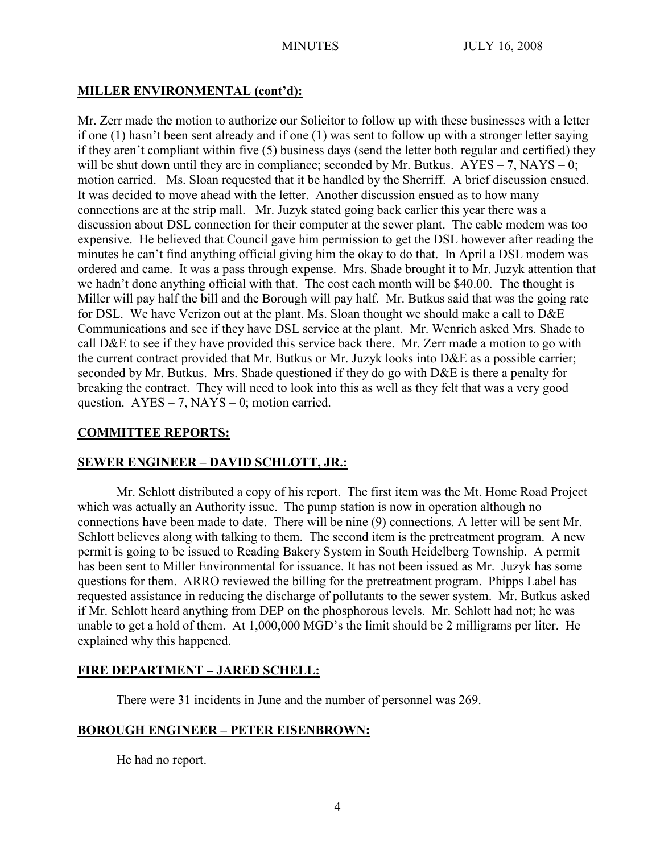# **MILLER ENVIRONMENTAL (cont'd):**

Mr. Zerr made the motion to authorize our Solicitor to follow up with these businesses with a letter if one (1) hasn't been sent already and if one (1) was sent to follow up with a stronger letter saying if they aren't compliant within five (5) business days (send the letter both regular and certified) they will be shut down until they are in compliance; seconded by Mr. Butkus.  $AYES - 7$ ,  $NAYS - 0$ ; motion carried. Ms. Sloan requested that it be handled by the Sherriff. A brief discussion ensued. It was decided to move ahead with the letter. Another discussion ensued as to how many connections are at the strip mall. Mr. Juzyk stated going back earlier this year there was a discussion about DSL connection for their computer at the sewer plant. The cable modem was too expensive. He believed that Council gave him permission to get the DSL however after reading the minutes he can't find anything official giving him the okay to do that. In April a DSL modem was ordered and came. It was a pass through expense. Mrs. Shade brought it to Mr. Juzyk attention that we hadn't done anything official with that. The cost each month will be \$40.00. The thought is Miller will pay half the bill and the Borough will pay half. Mr. Butkus said that was the going rate for DSL. We have Verizon out at the plant. Ms. Sloan thought we should make a call to D&E Communications and see if they have DSL service at the plant. Mr. Wenrich asked Mrs. Shade to call D&E to see if they have provided this service back there. Mr. Zerr made a motion to go with the current contract provided that Mr. Butkus or Mr. Juzyk looks into D&E as a possible carrier; seconded by Mr. Butkus. Mrs. Shade questioned if they do go with D&E is there a penalty for breaking the contract. They will need to look into this as well as they felt that was a very good question.  $AYES - 7$ ,  $NAYS - 0$ ; motion carried.

## **COMMITTEE REPORTS:**

# **SEWER ENGINEER – DAVID SCHLOTT, JR.:**

Mr. Schlott distributed a copy of his report. The first item was the Mt. Home Road Project which was actually an Authority issue. The pump station is now in operation although no connections have been made to date. There will be nine (9) connections. A letter will be sent Mr. Schlott believes along with talking to them. The second item is the pretreatment program. A new permit is going to be issued to Reading Bakery System in South Heidelberg Township. A permit has been sent to Miller Environmental for issuance. It has not been issued as Mr. Juzyk has some questions for them. ARRO reviewed the billing for the pretreatment program. Phipps Label has requested assistance in reducing the discharge of pollutants to the sewer system. Mr. Butkus asked if Mr. Schlott heard anything from DEP on the phosphorous levels. Mr. Schlott had not; he was unable to get a hold of them. At 1,000,000 MGD's the limit should be 2 milligrams per liter. He explained why this happened.

# **FIRE DEPARTMENT – JARED SCHELL:**

There were 31 incidents in June and the number of personnel was 269.

### **BOROUGH ENGINEER – PETER EISENBROWN:**

He had no report.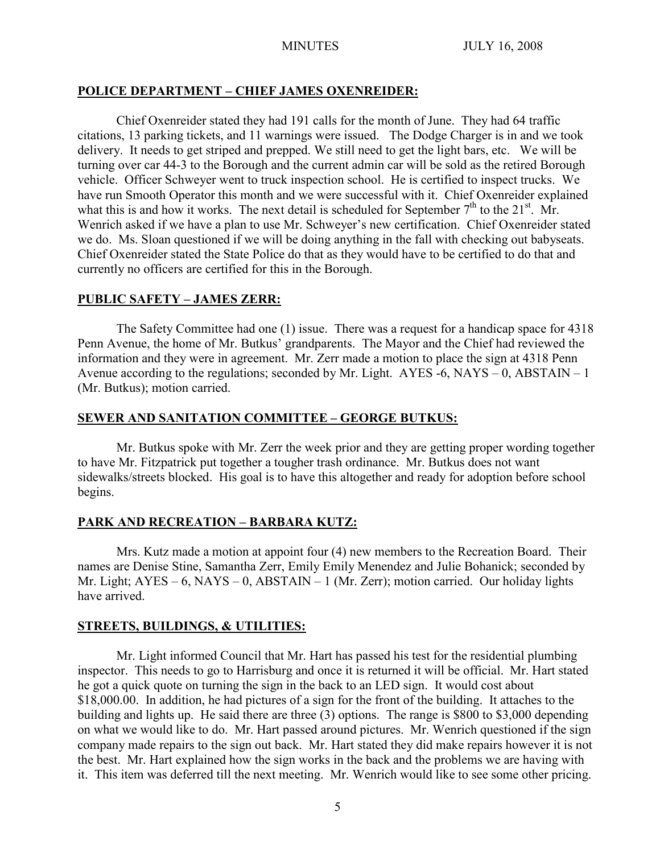## **POLICE DEPARTMENT – CHIEF JAMES OXENREIDER:**

Chief Oxenreider stated they had 191 calls for the month of June. They had 64 traffic citations, 13 parking tickets, and 11 warnings were issued. The Dodge Charger is in and we took delivery. It needs to get striped and prepped. We still need to get the light bars, etc. We will be turning over car 44-3 to the Borough and the current admin car will be sold as the retired Borough vehicle. Officer Schweyer went to truck inspection school. He is certified to inspect trucks. We have run Smooth Operator this month and we were successful with it. Chief Oxenreider explained what this is and how it works. The next detail is scheduled for September  $7<sup>th</sup>$  to the 21<sup>st</sup>. Mr. Wenrich asked if we have a plan to use Mr. Schweyer's new certification. Chief Oxenreider stated we do. Ms. Sloan questioned if we will be doing anything in the fall with checking out babyseats. Chief Oxenreider stated the State Police do that as they would have to be certified to do that and currently no officers are certified for this in the Borough.

### **PUBLIC SAFETY – JAMES ZERR:**

The Safety Committee had one (1) issue. There was a request for a handicap space for 4318 Penn Avenue, the home of Mr. Butkus' grandparents. The Mayor and the Chief had reviewed the information and they were in agreement. Mr. Zerr made a motion to place the sign at 4318 Penn Avenue according to the regulations; seconded by Mr. Light. AYES -6, NAYS  $-0$ , ABSTAIN  $-1$ (Mr. Butkus); motion carried.

### **SEWER AND SANITATION COMMITTEE – GEORGE BUTKUS:**

Mr. Butkus spoke with Mr. Zerr the week prior and they are getting proper wording together to have Mr. Fitzpatrick put together a tougher trash ordinance. Mr. Butkus does not want sidewalks/streets blocked. His goal is to have this altogether and ready for adoption before school begins.

# **PARK AND RECREATION – BARBARA KUTZ:**

Mrs. Kutz made a motion at appoint four (4) new members to the Recreation Board. Their names are Denise Stine, Samantha Zerr, Emily Emily Menendez and Julie Bohanick; seconded by Mr. Light;  $AYES - 6$ ,  $NAYS - 0$ ,  $ABSTAIN - 1$  (Mr. Zerr); motion carried. Our holiday lights have arrived.

### **STREETS, BUILDINGS, & UTILITIES:**

Mr. Light informed Council that Mr. Hart has passed his test for the residential plumbing inspector. This needs to go to Harrisburg and once it is returned it will be official. Mr. Hart stated he got a quick quote on turning the sign in the back to an LED sign. It would cost about \$18,000.00. In addition, he had pictures of a sign for the front of the building. It attaches to the building and lights up. He said there are three (3) options. The range is \$800 to \$3,000 depending on what we would like to do. Mr. Hart passed around pictures. Mr. Wenrich questioned if the sign company made repairs to the sign out back. Mr. Hart stated they did make repairs however it is not the best. Mr. Hart explained how the sign works in the back and the problems we are having with it. This item was deferred till the next meeting. Mr. Wenrich would like to see some other pricing.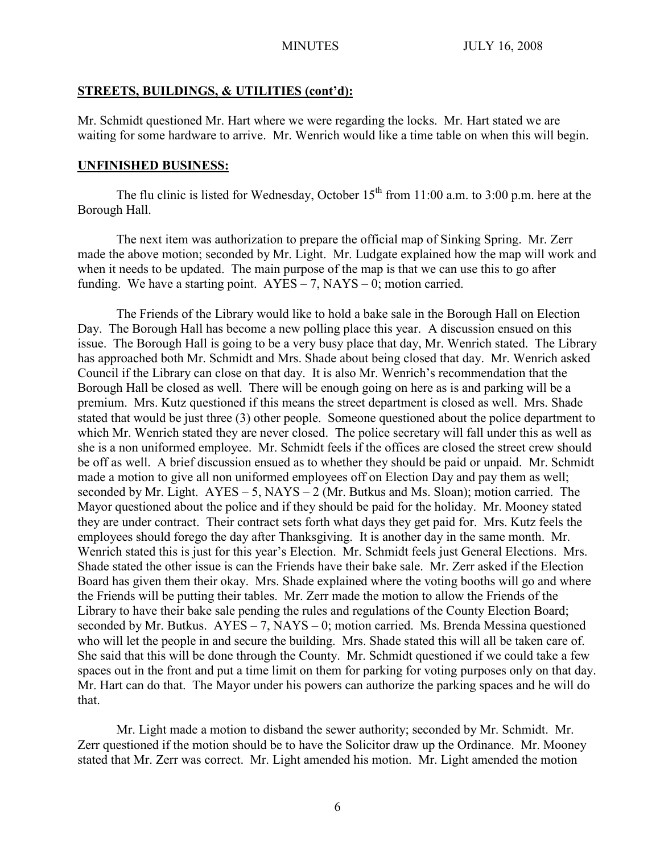### **STREETS, BUILDINGS, & UTILITIES (cont'd):**

Mr. Schmidt questioned Mr. Hart where we were regarding the locks. Mr. Hart stated we are waiting for some hardware to arrive. Mr. Wenrich would like a time table on when this will begin.

### **UNFINISHED BUSINESS:**

The flu clinic is listed for Wednesday, October  $15<sup>th</sup>$  from 11:00 a.m. to 3:00 p.m. here at the Borough Hall.

The next item was authorization to prepare the official map of Sinking Spring. Mr. Zerr made the above motion; seconded by Mr. Light. Mr. Ludgate explained how the map will work and when it needs to be updated. The main purpose of the map is that we can use this to go after funding. We have a starting point.  $AYES - 7$ ,  $NAYS - 0$ ; motion carried.

The Friends of the Library would like to hold a bake sale in the Borough Hall on Election Day. The Borough Hall has become a new polling place this year. A discussion ensued on this issue. The Borough Hall is going to be a very busy place that day, Mr. Wenrich stated. The Library has approached both Mr. Schmidt and Mrs. Shade about being closed that day. Mr. Wenrich asked Council if the Library can close on that day. It is also Mr. Wenrich's recommendation that the Borough Hall be closed as well. There will be enough going on here as is and parking will be a premium. Mrs. Kutz questioned if this means the street department is closed as well. Mrs. Shade stated that would be just three (3) other people. Someone questioned about the police department to which Mr. Wenrich stated they are never closed. The police secretary will fall under this as well as she is a non uniformed employee. Mr. Schmidt feels if the offices are closed the street crew should be off as well. A brief discussion ensued as to whether they should be paid or unpaid. Mr. Schmidt made a motion to give all non uniformed employees off on Election Day and pay them as well; seconded by Mr. Light.  $AYES - 5$ ,  $NAYS - 2$  (Mr. Butkus and Ms. Sloan); motion carried. The Mayor questioned about the police and if they should be paid for the holiday. Mr. Mooney stated they are under contract. Their contract sets forth what days they get paid for. Mrs. Kutz feels the employees should forego the day after Thanksgiving. It is another day in the same month. Mr. Wenrich stated this is just for this year's Election. Mr. Schmidt feels just General Elections. Mrs. Shade stated the other issue is can the Friends have their bake sale. Mr. Zerr asked if the Election Board has given them their okay. Mrs. Shade explained where the voting booths will go and where the Friends will be putting their tables. Mr. Zerr made the motion to allow the Friends of the Library to have their bake sale pending the rules and regulations of the County Election Board; seconded by Mr. Butkus. AYES – 7, NAYS – 0; motion carried. Ms. Brenda Messina questioned who will let the people in and secure the building. Mrs. Shade stated this will all be taken care of. She said that this will be done through the County. Mr. Schmidt questioned if we could take a few spaces out in the front and put a time limit on them for parking for voting purposes only on that day. Mr. Hart can do that. The Mayor under his powers can authorize the parking spaces and he will do that.

Mr. Light made a motion to disband the sewer authority; seconded by Mr. Schmidt. Mr. Zerr questioned if the motion should be to have the Solicitor draw up the Ordinance. Mr. Mooney stated that Mr. Zerr was correct. Mr. Light amended his motion. Mr. Light amended the motion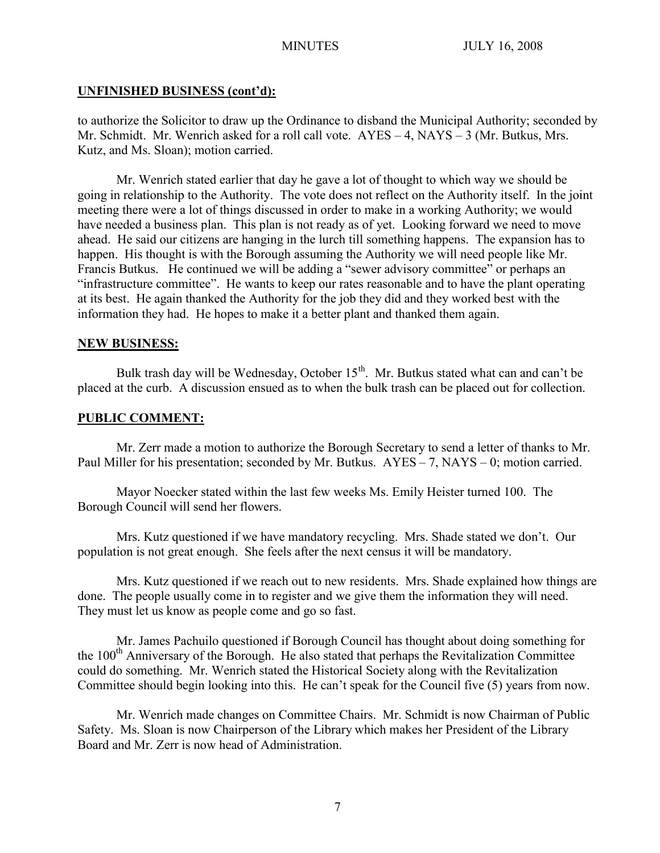## **UNFINISHED BUSINESS (cont'd):**

to authorize the Solicitor to draw up the Ordinance to disband the Municipal Authority; seconded by Mr. Schmidt. Mr. Wenrich asked for a roll call vote. AYES – 4, NAYS – 3 (Mr. Butkus, Mrs. Kutz, and Ms. Sloan); motion carried.

Mr. Wenrich stated earlier that day he gave a lot of thought to which way we should be going in relationship to the Authority. The vote does not reflect on the Authority itself. In the joint meeting there were a lot of things discussed in order to make in a working Authority; we would have needed a business plan. This plan is not ready as of yet. Looking forward we need to move ahead. He said our citizens are hanging in the lurch till something happens. The expansion has to happen. His thought is with the Borough assuming the Authority we will need people like Mr. Francis Butkus. He continued we will be adding a "sewer advisory committee" or perhaps an "infrastructure committee". He wants to keep our rates reasonable and to have the plant operating at its best. He again thanked the Authority for the job they did and they worked best with the information they had. He hopes to make it a better plant and thanked them again.

## **NEW BUSINESS:**

Bulk trash day will be Wednesday, October  $15<sup>th</sup>$ . Mr. Butkus stated what can and can't be placed at the curb. A discussion ensued as to when the bulk trash can be placed out for collection.

# **PUBLIC COMMENT:**

Mr. Zerr made a motion to authorize the Borough Secretary to send a letter of thanks to Mr. Paul Miller for his presentation; seconded by Mr. Butkus. AYES – 7, NAYS – 0; motion carried.

Mayor Noecker stated within the last few weeks Ms. Emily Heister turned 100. The Borough Council will send her flowers.

Mrs. Kutz questioned if we have mandatory recycling. Mrs. Shade stated we don't. Our population is not great enough. She feels after the next census it will be mandatory.

Mrs. Kutz questioned if we reach out to new residents. Mrs. Shade explained how things are done. The people usually come in to register and we give them the information they will need. They must let us know as people come and go so fast.

Mr. James Pachuilo questioned if Borough Council has thought about doing something for the  $100<sup>th</sup>$  Anniversary of the Borough. He also stated that perhaps the Revitalization Committee could do something. Mr. Wenrich stated the Historical Society along with the Revitalization Committee should begin looking into this. He can't speak for the Council five (5) years from now.

Mr. Wenrich made changes on Committee Chairs. Mr. Schmidt is now Chairman of Public Safety. Ms. Sloan is now Chairperson of the Library which makes her President of the Library Board and Mr. Zerr is now head of Administration.